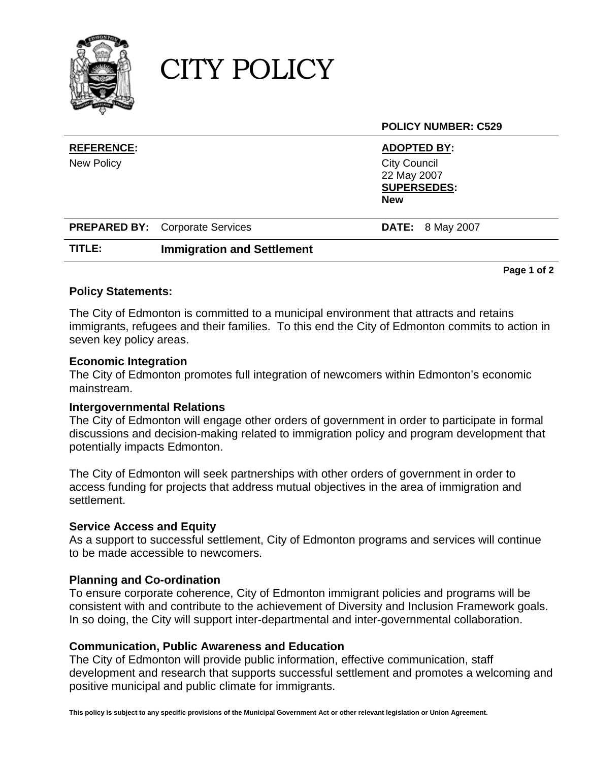

## CITY POLICY

|                                 |                                        | <b>POLICY NUMBER: C529</b>                                                                   |
|---------------------------------|----------------------------------------|----------------------------------------------------------------------------------------------|
| <b>REFERENCE:</b><br>New Policy |                                        | <b>ADOPTED BY:</b><br><b>City Council</b><br>22 May 2007<br><b>SUPERSEDES:</b><br><b>New</b> |
|                                 | <b>PREPARED BY:</b> Corporate Services | <b>DATE:</b> 8 May 2007                                                                      |
| TITLE:                          | <b>Immigration and Settlement</b>      |                                                                                              |

**Page 1 of 2**

### **Policy Statements:**

The City of Edmonton is committed to a municipal environment that attracts and retains immigrants, refugees and their families. To this end the City of Edmonton commits to action in seven key policy areas.

#### **Economic Integration**

The City of Edmonton promotes full integration of newcomers within Edmonton's economic mainstream.

#### **Intergovernmental Relations**

The City of Edmonton will engage other orders of government in order to participate in formal discussions and decision-making related to immigration policy and program development that potentially impacts Edmonton.

The City of Edmonton will seek partnerships with other orders of government in order to access funding for projects that address mutual objectives in the area of immigration and settlement.

#### **Service Access and Equity**

As a support to successful settlement, City of Edmonton programs and services will continue to be made accessible to newcomers.

## **Planning and Co-ordination**

To ensure corporate coherence, City of Edmonton immigrant policies and programs will be consistent with and contribute to the achievement of Diversity and Inclusion Framework goals. In so doing, the City will support inter-departmental and inter-governmental collaboration.

## **Communication, Public Awareness and Education**

The City of Edmonton will provide public information, effective communication, staff development and research that supports successful settlement and promotes a welcoming and positive municipal and public climate for immigrants.